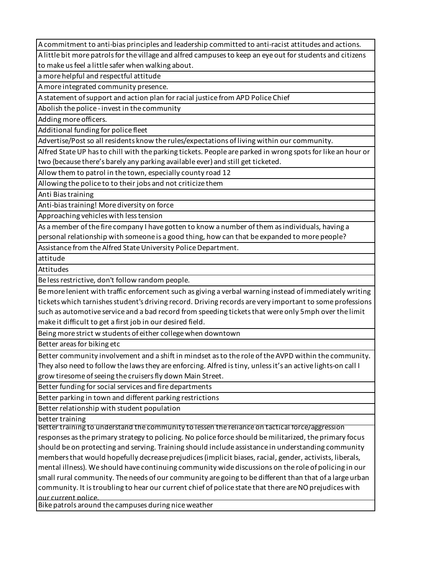A commitment to anti-bias principles and leadership committed to anti-racist attitudes and actions.

A little bit more patrols for the village and alfred campuses to keep an eye out for students and citizens to make us feel a little safer when walking about.

a more helpful and respectful attitude

A more integrated community presence.

A statement of support and action plan for racial justice from APD Police Chief

Abolish the police - invest in the community

Adding more officers.

Additional funding for police fleet

Advertise/Post so all residents know the rules/expectations of living within our community.

Alfred State UP has to chill with the parking tickets. People are parked in wrong spots for like an hour or two (because there's barely any parking available ever) and still get ticketed.

Allow them to patrol in the town, especially county road 12

Allowing the police to to their jobs and not criticize them

Anti Bias training

Anti-bias training! More diversity on force

Approaching vehicles with less tension

As a member of the fire company I have gotten to know a number of them as individuals, having a personal relationship with someone is a good thing, how can that be expanded to more people?

Assistance from the Alfred State University Police Department.

attitude

Attitudes

Be less restrictive, don't follow random people.

Be more lenient with traffic enforcement such as giving a verbal warning instead of immediately writing tickets which tarnishes student's driving record. Driving records are very important to some professions such as automotive service and a bad record from speeding tickets that were only 5mph over the limit make it difficult to get a first job in our desired field.

Being more strict w students of either college when downtown

Better areas for biking etc

Better community involvement and a shift in mindset as to the role of the AVPD within the community. They also need to follow the laws they are enforcing. Alfred is tiny, unless it's an active lights-on call I grow tiresome of seeing the cruisers fly down Main Street.

Better funding for social services and fire departments

Better parking in town and different parking restrictions

Better relationship with student population

better training

Better training to understand the community to lessen the reliance on tactical force/aggression responses as the primary strategy to policing. No police force should be militarized, the primary focus should be on protecting and serving. Training should include assistance in understanding community members that would hopefully decrease prejudices (implicit biases, racial, gender, activists, liberals, mental illness). We should have continuing community wide discussions on the role of policing in our small rural community. The needs of our community are going to be different than that of a large urban community. It is troubling to hear our current chief of police state that there are NO prejudices with our current police.

Bike patrols around the campuses during nice weather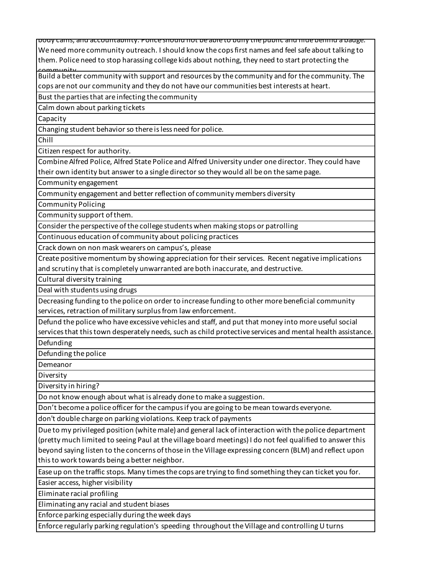body cams, and accountability. Police should not be able to bully the public and hide behind a badge. We need more community outreach. I should know the cops first names and feel safe about talking to them. Police need to stop harassing college kids about nothing, they need to start protecting the

community. Build a better community with support and resources by the community and for the community. The cops are not our community and they do not have our communities best interests at heart.

Bust the parties that are infecting the community

Calm down about parking tickets

Capacity

Changing student behavior so there is less need for police.

Chill

Citizen respect for authority.

Combine Alfred Police, Alfred State Police and Alfred University under one director. They could have their own identity but answer to a single director so they would all be on the same page.

Community engagement

Community engagement and better reflection of community members diversity

Community Policing

Community support of them.

Consider the perspective of the college students when making stops or patrolling

Continuous education of community about policing practices

Crack down on non mask wearers on campus's, please

Create positive momentum by showing appreciation for their services. Recent negative implications and scrutiny that is completely unwarranted are both inaccurate, and destructive.

Cultural diversity training

Deal with students using drugs

Decreasing funding to the police on order to increase funding to other more beneficial community services, retraction of military surplus from law enforcement.

Defund the police who have excessive vehicles and staff, and put that money into more useful social services that this town desperately needs, such as child protective services and mental health assistance. Defunding

Defunding the police

Demeanor

Diversity

Diversity in hiring?

Do not know enough about what is already done to make a suggestion.

Don't become a police officer for the campus if you are going to be mean towards everyone.

don't double charge on parking violations. Keep track of payments

Due to my privileged position (white male) and general lack of interaction with the police department (pretty much limited to seeing Paul at the village board meetings) I do not feel qualified to answer this beyond saying listen to the concerns of those in the Village expressing concern (BLM) and reflect upon this to work towards being a better neighbor.

Ease up on the traffic stops. Many times the cops are trying to find something they can ticket you for.

Easier access, higher visibility

Eliminate racial profiling

Eliminating any racial and student biases

Enforce parking especially during the week days

Enforce regularly parking regulation's speeding throughout the Village and controlling U turns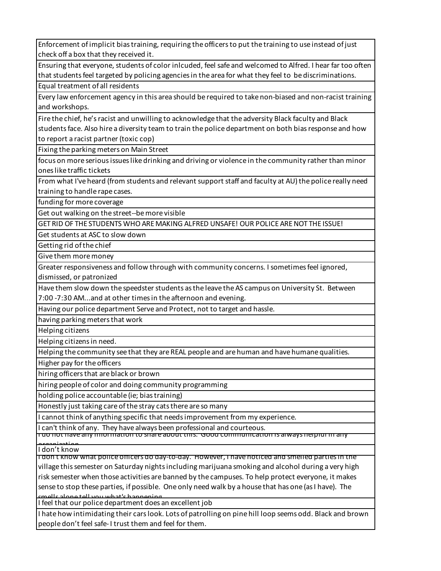Enforcement of implicit bias training, requiring the officers to put the training to use instead of just check off a box that they received it.

Ensuring that everyone, students of color inlcuded, feel safe and welcomed to Alfred. I hear far too often that students feel targeted by policing agencies in the area for what they feel to be discriminations.

Equal treatment of all residents

Every law enforcement agency in this area should be required to take non-biased and non-racist training and workshops.

Fire the chief, he's racist and unwilling to acknowledge that the adversity Black faculty and Black

students face. Also hire a diversity team to train the police department on both bias response and how to report a racist partner (toxic cop)

Fixing the parking meters on Main Street

focus on more serious issues like drinking and driving or violence in the community rather than minor ones like traffic tickets

From what I've heard (from students and relevant support staff and faculty at AU) the police really need training to handle rape cases.

funding for more coverage

Get out walking on the street--be more visible

GET RID OF THE STUDENTS WHO ARE MAKING ALFRED UNSAFE! OUR POLICE ARE NOT THE ISSUE!

Get students at ASC to slow down

Getting rid of the chief

Give them more money

Greater responsiveness and follow through with community concerns. I sometimes feel ignored, dismissed, or patronized

Have them slow down the speedster students as the leave the AS campus on University St. Between 7:00 -7:30 AM...and at other times in the afternoon and evening.

Having our police department Serve and Protect, not to target and hassle.

having parking meters that work

Helping citizens

Helping citizens in need.

Helping the community see that they are REAL people and are human and have humane qualities.

Higher pay for the officers

hiring officers that are black or brown

hiring people of color and doing community programming

holding police accountable (ie; bias training)

Honestly just taking care of the stray cats there are so many

I cannot think of anything specific that needs improvement from my experience.

I can't think of any. They have always been professional and courteous.

I do not have any information to share about this. Good communication is always helpful in any

I don't know

I don't know what police officers do day-to-day. However, I have noticed and smelled parties in the village this semester on Saturday nights including marijuana smoking and alcohol during a very high risk semester when those activities are banned by the campuses. To help protect everyone, it makes sense to stop these parties, if possible. One only need walk by a house that has one (as I have). The smells alone tell you what's happening.

I feel that our police department does an excellent job

I hate how intimidating their cars look. Lots of patrolling on pine hill loop seems odd. Black and brown people don't feel safe- I trust them and feel for them.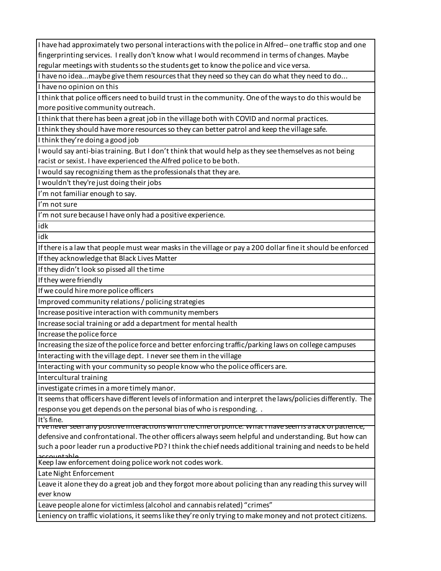I have had approximately two personal interactions with the police in Alfred-- one traffic stop and one fingerprinting services. I really don't know what I would recommend in terms of changes. Maybe regular meetings with students so the students get to know the police and vice versa.

I have no idea...maybe give them resources that they need so they can do what they need to do...

I have no opinion on this

I think that police officers need to build trust in the community. One of the ways to do this would be more positive community outreach.

I think that there has been a great job in the village both with COVID and normal practices.

I think they should have more resources so they can better patrol and keep the village safe.

I think they're doing a good job

I would say anti-bias training. But I don't think that would help as they see themselves as not being racist or sexist. I have experienced the Alfred police to be both.

I would say recognizing them as the professionals that they are.

I wouldn't they're just doing their jobs

I'm not familiar enough to say.

I'm not sure

I'm not sure because I have only had a positive experience.

idk

idk

If there is a law that people must wear masks in the village or pay a 200 dollar fine it should be enforced

If they acknowledge that Black Lives Matter

If they didn't look so pissed all the time

If they were friendly

If we could hire more police officers

Improved community relations / policing strategies

Increase positive interaction with community members

Increase social training or add a department for mental health

Increase the police force

Increasing the size of the police force and better enforcing traffic/parking laws on college campuses

Interacting with the village dept. I never see them in the village

Interacting with your community so people know who the police officers are.

Intercultural training

investigate crimes in a more timely manor.

It seems that officers have different levels of information and interpret the laws/policies differently. The response you get depends on the personal bias of who is responding. .

It's fine.

I've never seen any positive interactions with the Chief of police. What I have seen is a lack of patience, defensive and confrontational. The other officers always seem helpful and understanding. But how can such a poor leader run a productive PD? I think the chief needs additional training and needs to be held accountable.

Keep law enforcement doing police work not codes work.

Late Night Enforcement

Leave it alone they do a great job and they forgot more about policing than any reading this survey will ever know

Leave people alone for victimless (alcohol and cannabis related) "crimes"

Leniency on traffic violations, it seems like they're only trying to make money and not protect citizens.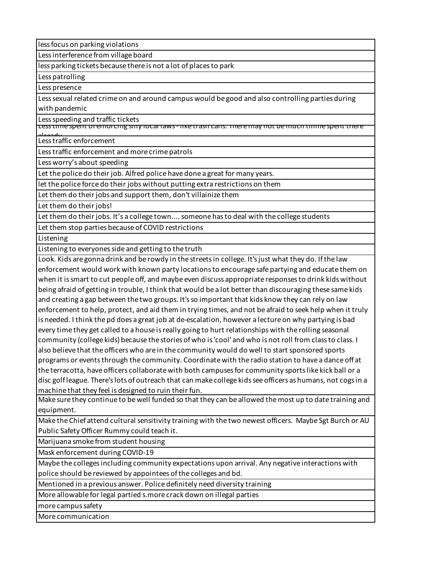less focus on parking violations

Less interference from village board

less parking tickets because there is not a lot of places to park

Less patrolling

Less presence

Less sexual related crime on and around campus would be good and also controlling parties during with pandemic

Less speeding and traffic tickets

Less time spent of enforcing silly local laws - like trash cans. There may not be much tiiime spent there

Less traffic enforcement

Less traffic enforcement and more crime patrols

Less worry's about speeding

Let the police do their job. Alfred police have done a great for many years.

let the police force do their jobs without putting extra restrictions on them

Let them do their jobs and support them, don't villainize them

Let them do their jobs!

Let them do their jobs. It's a college town.... someone has to deal with the college students

Let them stop parties because of COVID restrictions

Listening

Listening to everyones side and getting to the truth

Look. Kids are gonna drink and be rowdy in the streets in college. It's just what they do. If the law enforcement would work with known party locations to encourage safe partying and educate them on when it is smart to cut people off, and maybe even discuss appropriate responses to drink kids without being afraid of getting in trouble, I think that would be a lot better than discouraging these same kids and creating a gap between the two groups. It's so important that kids know they can rely on law enforcement to help, protect, and aid them in trying times, and not be afraid to seek help when it truly is needed. I think the pd does a great job at de-escalation, however a lecture on why partying is bad every time they get called to a house is really going to hurt relationships with the rolling seasonal community (college kids) because the stories of who is 'cool' and who is not roll from class to class. I also believe that the officers who are in the community would do well to start sponsored sports programs or events through the community. Coordinate with the radio station to have a dance off at the terracotta, have officers collaborate with both campuses for community sports like kick ball or a disc golf league. There's lots of outreach that can make college kids see officers as humans, not cogs in a machine that they feel is designed to ruin their fun.

Make sure they continue to be well funded so that they can be allowed the most up to date training and equipment.

Make the Chief attend cultural sensitivity training with the two newest officers. Maybe Sgt Burch or AU Public Safety Officer Rummy could teach it.

Marijuana smoke from student housing

Mask enforcement during COVID-19

Maybe the colleges including community expectations upon arrival. Any negative interactions with police should be reviewed by appointees of the colleges and bd.

Mentioned in a previous answer. Police definitely need diversity training

More allowable for legal partied s.more crack down on illegal parties

more campus safety

More communication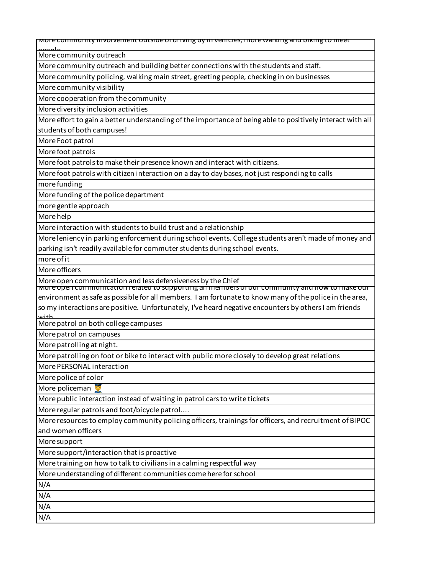More community involvement outside of driving by in vehicles, more walking and biking to meet

More community outreach

More community outreach and building better connections with the students and staff.

More community policing, walking main street, greeting people, checking in on businesses

More community visibility

More cooperation from the community

More diversity inclusion activities

More effort to gain a better understanding of the importance of being able to positively interact with all students of both campuses!

More Foot patrol

More foot patrols

More foot patrols to make their presence known and interact with citizens.

More foot patrols with citizen interaction on a day to day bases, not just responding to calls

more funding

More funding of the police department

more gentle approach

More help

More interaction with students to build trust and a relationship

More leniency in parking enforcement during school events. College students aren't made of money and parking isn't readily available for commuter students during school events.

more of it

More officers

More open communication and less defensiveness by the Chief

More open communication related to supporting all members of our community and how to make our environment as safe as possible for all members. I am fortunate to know many of the police in the area, so my interactions are positive. Unfortunately, I've heard negative encounters by others I am friends with.

More patrol on both college campuses

More patrol on campuses

More patrolling at night.

More patrolling on foot or bike to interact with public more closely to develop great relations

More PERSONAL interaction

More police of color

More policeman

More public interaction instead of waiting in patrol cars to write tickets

More regular patrols and foot/bicycle patrol....

More resources to employ community policing officers, trainings for officers, and recruitment of BIPOC and women officers

More support

More support/interaction that is proactive

More training on how to talk to civilians in a calming respectful way

More understanding of different communities come here for school

N/A

N/A

N/A

N/A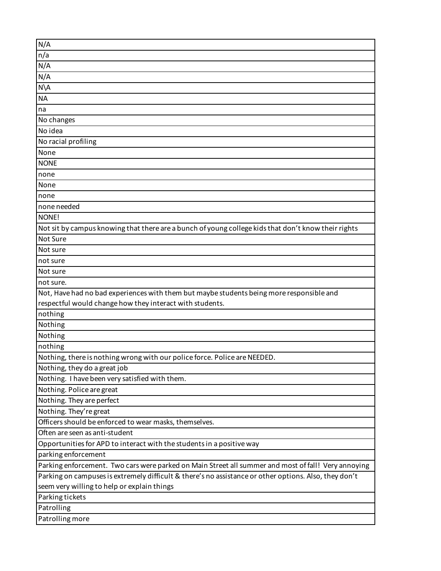| N/A                                                                                                   |
|-------------------------------------------------------------------------------------------------------|
| n/a                                                                                                   |
| N/A                                                                                                   |
| N/A                                                                                                   |
| $N\setminus A$                                                                                        |
| <b>NA</b>                                                                                             |
| na                                                                                                    |
| No changes                                                                                            |
| No idea                                                                                               |
| No racial profiling                                                                                   |
| None                                                                                                  |
| <b>NONE</b>                                                                                           |
| none                                                                                                  |
| None                                                                                                  |
| none                                                                                                  |
| none needed                                                                                           |
| NONE!                                                                                                 |
| Not sit by campus knowing that there are a bunch of young college kids that don't know their rights   |
| Not Sure                                                                                              |
| Not sure                                                                                              |
| not sure                                                                                              |
| Not sure                                                                                              |
| not sure.                                                                                             |
| Not, Have had no bad experiences with them but maybe students being more responsible and              |
| respectful would change how they interact with students.                                              |
| nothing                                                                                               |
| Nothing                                                                                               |
| Nothing                                                                                               |
| nothing                                                                                               |
| Nothing, there is nothing wrong with our police force. Police are NEEDED.                             |
| Nothing, they do a great job                                                                          |
| Nothing. I have been very satisfied with them.                                                        |
| Nothing. Police are great                                                                             |
| Nothing. They are perfect                                                                             |
| Nothing. They're great                                                                                |
| Officers should be enforced to wear masks, themselves.                                                |
| Often are seen as anti-student                                                                        |
| Opportunities for APD to interact with the students in a positive way                                 |
| parking enforcement                                                                                   |
| Parking enforcement. Two cars were parked on Main Street all summer and most of fall! Very annoying   |
| Parking on campuses is extremely difficult & there's no assistance or other options. Also, they don't |
| seem very willing to help or explain things                                                           |
| Parking tickets                                                                                       |
| Patrolling                                                                                            |
| Patrolling more                                                                                       |
|                                                                                                       |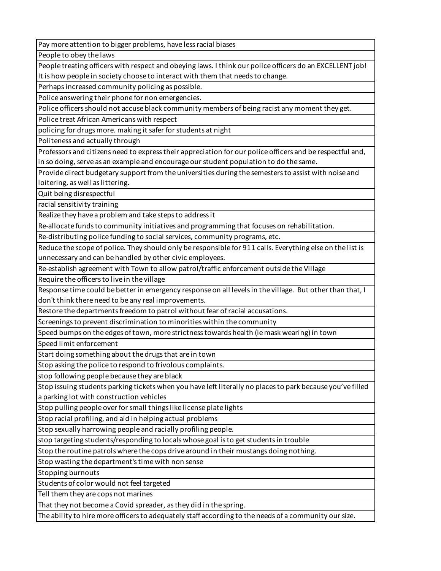Pay more attention to bigger problems, have less racial biases

People to obey the laws

People treating officers with respect and obeying laws. I think our police officers do an EXCELLENT job! It is how people in society choose to interact with them that needs to change.

Perhaps increased community policing as possible.

Police answering their phone for non emergencies.

Police officers should not accuse black community members of being racist any moment they get.

Police treat African Americans with respect

policing for drugs more. making it safer for students at night

Politeness and actually through

Professors and citizens need to express their appreciation for our police officers and be respectful and, in so doing, serve as an example and encourage our student population to do the same.

Provide direct budgetary support from the universities during the semesters to assist with noise and loitering, as well as littering.

Quit being disrespectful

racial sensitivity training

Realize they have a problem and take steps to address it

Re-allocate funds to community initiatives and programming that focuses on rehabilitation.

Re-distributing police funding to social services, community programs, etc.

Reduce the scope of police. They should only be responsible for 911 calls. Everything else on the list is unnecessary and can be handled by other civic employees.

Re-establish agreement with Town to allow patrol/traffic enforcement outside the Village

Require the officers to live in the village

Response time could be better in emergency response on all levels in the village. But other than that, I don't think there need to be any real improvements.

Restore the departments freedom to patrol without fear of racial accusations.

Screenings to prevent discrimination to minorities within the community

Speed bumps on the edges of town, more strictness towards health (ie mask wearing) in town

Speed limit enforcement

Start doing something about the drugs that are in town

Stop asking the police to respond to frivolous complaints.

stop following people because they are black

Stop issuing students parking tickets when you have left literally no places to park because you've filled a parking lot with construction vehicles

Stop pulling people over for small things like license plate lights

Stop racial profiling, and aid in helping actual problems

Stop sexually harrowing people and racially profiling people.

stop targeting students/responding to locals whose goal is to get students in trouble

Stop the routine patrols where the cops drive around in their mustangs doing nothing.

Stop wasting the department's time with non sense

Stopping burnouts

Students of color would not feel targeted

Tell them they are cops not marines

That they not become a Covid spreader, as they did in the spring.

The ability to hire more officers to adequately staff according to the needs of a community our size.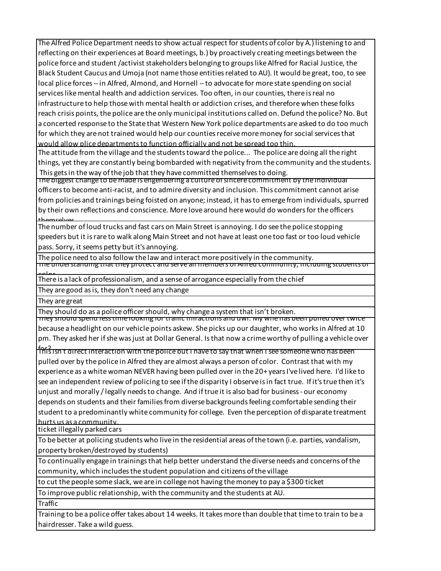The Alfred Police Department needs to show actual respect for students of color by A.) listening to and reflecting on their experiences at Board meetings, b.) by proactively creating meetings between the police force and student /activist stakeholders belonging to groups like Alfred for Racial Justice, the Black Student Caucus and Umoja (not name those entities related to AU). It would be great, too, to see local plice forces -- in Alfred, Almond, and Hornell -- to advocate for more state spending on social services like mental health and addiction services. Too often, in our counties, there is real no infrastructure to help those with mental health or addiction crises, and therefore when these folks reach crisis points, the police are the only municipal institutions called on. Defund the police? No. But a concerted response to the State that Western New York police departments are asked to do too much for which they are not trained would help our counties receive more money for social services that would allow plice departments to function officially and not be spread too thin.

The attitude from the village and the students toward the police... The police are doing all the right things, yet they are constantly being bombarded with negativity from the community and the students. This gets in the way of the job that they have committed themselves to doing.

The biggest change to be made is engendering a culture of sincere commitment by the individual officers to become anti-racist, and to admire diversity and inclusion. This commitment cannot arise from policies and trainings being foisted on anyone; instead, it has to emerge from individuals, spurred by their own reflections and conscience. More love around here would do wonders for the officers themselves..

The number of loud trucks and fast cars on Main Street is annoying. I do see the police stopping speeders but it is rare to walk along Main Street and not have at least one too fast or too loud vehicle pass. Sorry, it seems petty but it's annoying.

The police need to also follow the law and interact more positively in the community. The understanding that they protect and serve all members of Alfred community, including students

There is a lack of professionalism, and a sense of arrogance especially from the chief

They are good as is, they don't need any change

They are great

They should do as a police officer should, why change a system that isn't broken.

They should spend less time looking for traffic infractions and dwi. My wife has been pulled over twice because a headlight on our vehicle points askew. She picks up our daughter, who works in Alfred at 10 pm. They asked her if she was just at Dollar General. Is that now a crime worthy of pulling a vehicle over

this isn't direct interaction with the police but I have to say that when I see someone who has been pulled over by the police in Alfred they are almost always a person of color. Contrast that with my experience as a white woman NEVER having been pulled over in the 20+ years I've lived here. I'd like to see an independent review of policing to see if the disparity I observe is in fact true. If it's true then it's unjust and morally / legally needs to change. And if true it is also bad for business - our economy depends on students and their families from diverse backgrounds feeling comfortable sending their student to a predominantly white community for college. Even the perception of disparate treatment hurts us as a community.

ticket illegally parked cars

To be better at policing students who live in the residential areas of the town (i.e. parties, vandalism, property broken/destroyed by students)

To continually engage in trainings that help better understand the diverse needs and concerns of the community, which includes the student population and citizens of the village

to cut the people some slack, we are in college not having the money to pay a \$300 ticket

To improve public relationship, with the community and the students at AU.

Traffic

Training to be a police offer takes about 14 weeks. It takes more than double that time to train to be a hairdresser. Take a wild guess.